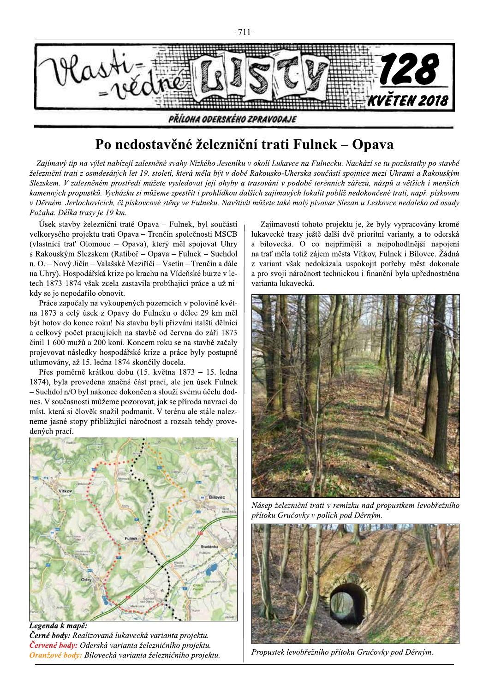

## Po nedostavěné železniční trati Fulnek – Opava

Zajímavý tip na výlet nabízejí zalesněné svahy Nízkého Jeseníku v okolí Lukavce na Fulnecku. Nachází se tu pozůstatky po stavbě železniční trati z osmdesátých let 19. století, která měla být v době Rakousko-Uherska součástí spojnice mezi Uhrami a Rakouským Slezskem. V zalesněném prostředí můžete vysledovat její ohyby a trasování v podobě terénních zářezů, náspů a větších i menších kamenných propustků. Vycházku si můžeme zpestřit i prohlídkou dalších zajímavých lokalit poblíž nedokončené trati, např. pískovnu v Děrném, Jerlochovicích, či pískovcové stěny ve Fulneku. Navštívit můžete také malý pivovar Slezan u Leskovce nedaleko od osady Požaha. Délka trasv je 19 km.

Úsek stavby železniční tratě Opava – Fulnek, byl součástí velkorysého projektu trati Opava – Trenčín společnosti MSCB (vlastnící trať Olomouc – Opava), který měl spojovat Uhry s Rakouským Slezskem (Ratiboř – Opava – Fulnek – Suchdol n. O. – Nový Jičín – Valašské Meziříčí – Vsetín – Trenčín a dále na Uhry). Hospodářská krize po krachu na Vídeňské burze v letech 1873-1874 však zcela zastavila probíhající práce a už nikdy se je nepodařilo obnovit.

Práce započaly na vykoupených pozemcích v polovině května 1873 a celý úsek z Opavy do Fulneku o délce 29 km měl být hotov do konce roku! Na stavbu byli přizváni italští dělníci a celkový počet pracujících na stavbě od června do září 1873 činil 1 600 mužů a 200 koní. Koncem roku se na stavbě začaly projevovat následky hospodářské krize a práce byly postupně utlumovány, až 15. ledna 1874 skončily docela.

Přes poměrně krátkou dobu (15. května 1873 – 15. ledna 1874), byla provedena značná část prací, ale jen úsek Fulnek - Suchdol n/O byl nakonec dokončen a slouží svému účelu dodnes. V současnosti můžeme pozorovat, jak se příroda navrací do míst, která si člověk snažil podmanit. V terénu ale stále nalezneme jasné stopy přibližující náročnost a rozsah tehdy provedených prací.



Legenda k mapě: Černé body: Realizovaná lukavecká varianta projektu. Červené body: Oderská varianta železničního projektu. Oranžové body: Bílovecká varianta železničního projektu.

Zajímavostí tohoto projektu je, že byly vypracovány kromě lukavecké trasy ještě další dvě prioritní varianty, a to oderská a bílovecká. O co nejpřímější a nejpohodlnější napojení na trať měla totiž zájem města Vítkov, Fulnek i Bílovec. Žádná z variant však nedokázala uspokojit potřeby měst dokonale a pro svoji náročnost technickou i finanční byla upřednostněna varianta lukavecká.



Násep železniční trati v remízku nad propustkem levobřežního přítoku Gručovky v polích pod Děrným.



Propustek levobřežního přítoku Gručovky pod Děrným.

 $-711-$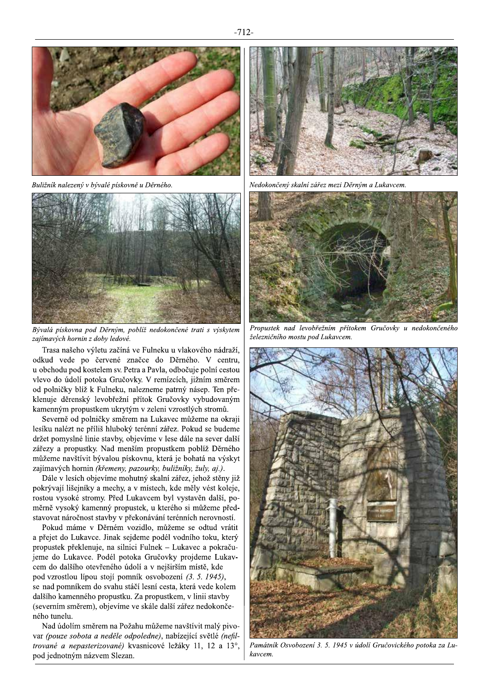

Buližník nalezený v bývalé pískovně u Děrného.



Bývalá pískovna pod Děrným, poblíž nedokončené trati s výskytem zajímavých hornin z doby ledové.

Trasa našeho výletu začíná ve Fulneku u vlakového nádraží, odkud vede po červené značce do Děrného. V centru, u obchodu pod kostelem sv. Petra a Pavla, odbočuje polní cestou vlevo do údolí potoka Gručovky. V remízcích, jižním směrem od polničky blíž k Fulneku, nalezneme patrný násep. Ten překlenuje děrenský levobřežní přítok Gručovky vybudovaným kamenným propustkem ukrytým v zeleni vzrostlých stromů.

Severně od polničky směrem na Lukavec můžeme na okraji lesíku nalézt ne příliš hluboký terénní zářez. Pokud se budeme držet pomyslné linie stavby, objevíme v lese dále na sever další zářezy a propustky. Nad menším propustkem poblíž Děrného můžeme navštívit bývalou pískovnu, která je bohatá na výskyt zajímavých hornin (křemeny, pazourky, buližníky, žuly, aj.).

Dále v lesích objevíme mohutný skalní zářez, jehož stěny již pokrývají lišejníky a mechy, a v místech, kde měly vést koleje, rostou vysoké stromy. Před Lukavcem byl vystavěn další, poměrně vysoký kamenný propustek, u kterého si můžeme představovat náročnost stavby v překonávání terénních nerovností.

Pokud máme v Děrném vozidlo, můžeme se odtud vrátit a přejet do Lukavce. Jinak sejdeme podél vodního toku, který propustek překlenuje, na silnici Fulnek – Lukavec a pokračujeme do Lukavce. Podél potoka Gručovky projdeme Lukavcem do dalšího otevřeného údolí a v nejširším místě, kde pod vzrostlou lípou stojí pomník osvobození (3. 5. 1945), se nad pomníkem do svahu stáčí lesní cesta, která vede kolem dalšího kamenného propustku. Za propustkem, v linii stavby (severním směrem), objevíme ve skále další zářez nedokončeného tunelu.

Nad údolím směrem na Požahu můžeme navštívit malý pivovar (pouze sobota a neděle odpoledne), nabízející světlé (nefiltrované a nepasterizované) kvasnicové ležáky 11, 12 a 13°, pod jednotným názvem Slezan.



Nedokončený skalní zářez mezi Děrným a Lukavcem



Propustek nad levobřežním přítokem Gručovky u nedokončeného železničního mostu pod Lukavcem.



Památník Osvobození 3. 5. 1945 v údolí Gručovického potoka za Lukaycem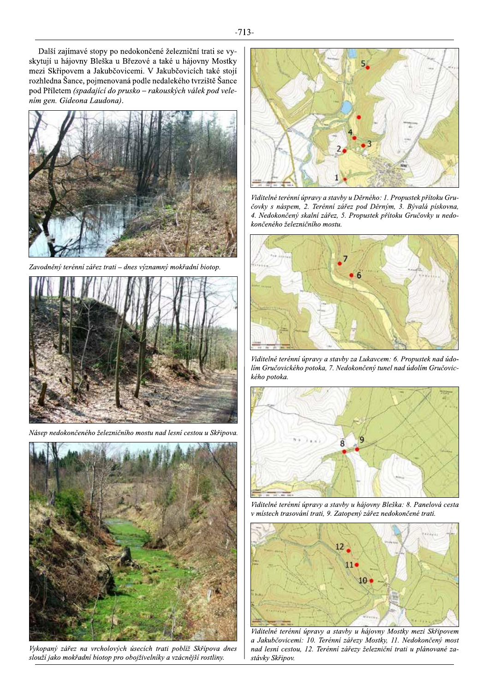

Zavodněný terénní zářez trati – dnes významný mokřadní biotop.



Násep nedokončeného železničního mostu nad lesní cestou u Skřipova.



Vykopaný zářez na vrcholových úsecích trati poblíž Skřípova dnes slouží jako mokřadní biotop pro obojživelníky a vzácnější rostliny.



Viditelné terénní úpravy a stavby u Děrného: 1. Propustek přítoku Gručovky s náspem, 2. Terénní zářez pod Děrným, 3. Bývalá pískovna, 4. Nedokončený skalní zářez, 5. Propustek přítoku Gručovky u nedokončeného železničního mostu.



Viditelné terénní úpravy a stavby za Lukavcem: 6. Propustek nad údolím Gručovického potoka, 7. Nedokončený tunel nad údolím Gručovického potoka.



Viditelné terénní úpravy a stavby u hájovny Bleška: 8. Panelová cesta v místech trasování trati, 9. Zatopený zářez nedokončené trati.



Viditelné terénní úpravy a stavby u hájovny Mostky mezi Skřipovem a Jakubčovicemi: 10. Terénní zářezy Mostky, 11. Nedokončený most nad lesní cestou, 12. Terénní zářezy železniční trati u plánované zastávky Skřipov.